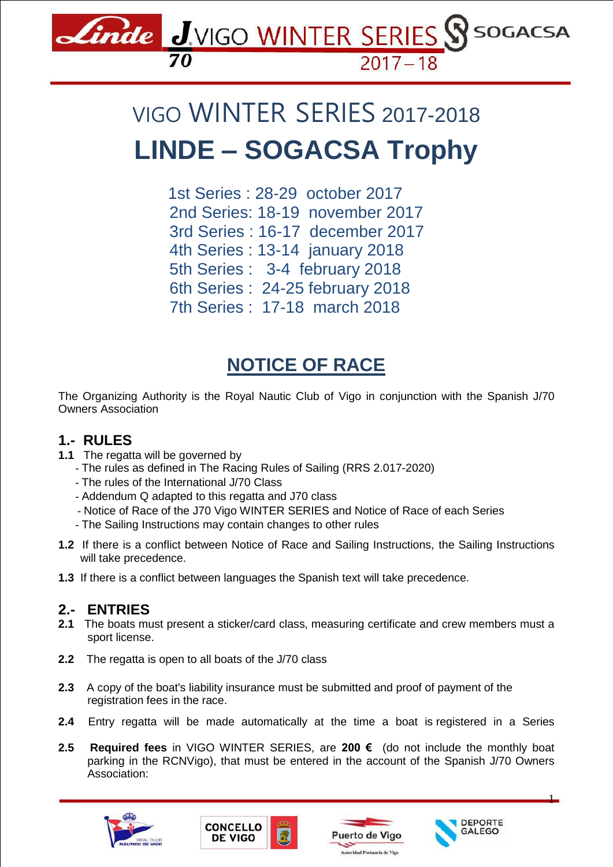

# VIGO WINTER SERIES 2017-2018 **LINDE – SOGACSA Trophy**

 1st Series : 28-29 october 2017 2nd Series: 18-19 november 2017 3rd Series : 16-17 december 2017 4th Series : 13-14 january 2018 5th Series : 3-4 february 2018 6th Series : 24-25 february 2018 7th Series : 17-18 march 2018

# **NOTICE OF RACE**

The Organizing Authority is the Royal Nautic Club of Vigo in conjunction with the Spanish J/70 Owners Association

# **1.- RULES**

- **1.1** The regatta will be governed by
	- The rules as defined in The Racing Rules of Sailing (RRS 2.017-2020)
	- The rules of the International J/70 Class
	- Addendum Q adapted to this regatta and J70 class
	- Notice of Race of the J70 Vigo WINTER SERIES and Notice of Race of each Series
	- The Sailing Instructions may contain changes to other rules
- **1.2** If there is a conflict between Notice of Race and Sailing Instructions, the Sailing Instructions will take precedence.
- **1.3** If there is a conflict between languages the Spanish text will take precedence.

# **2.- ENTRIES**

- **2.1** The boats must present a sticker/card class, measuring certificate and crew members must a sport license.
- **2.2** The regatta is open to all boats of the J/70 class
- **2.3** A copy of the boat's liability insurance must be submitted and proof of payment of the registration fees in the race.
- **2.4** Entry regatta will be made automatically at the time a boat is registered in a Series
- **2.5 Required fees** in VIGO WINTER SERIES, are **200 €** (do not include the monthly boat parking in the RCNVigo), that must be entered in the account of the Spanish J/70 Owners Association:









1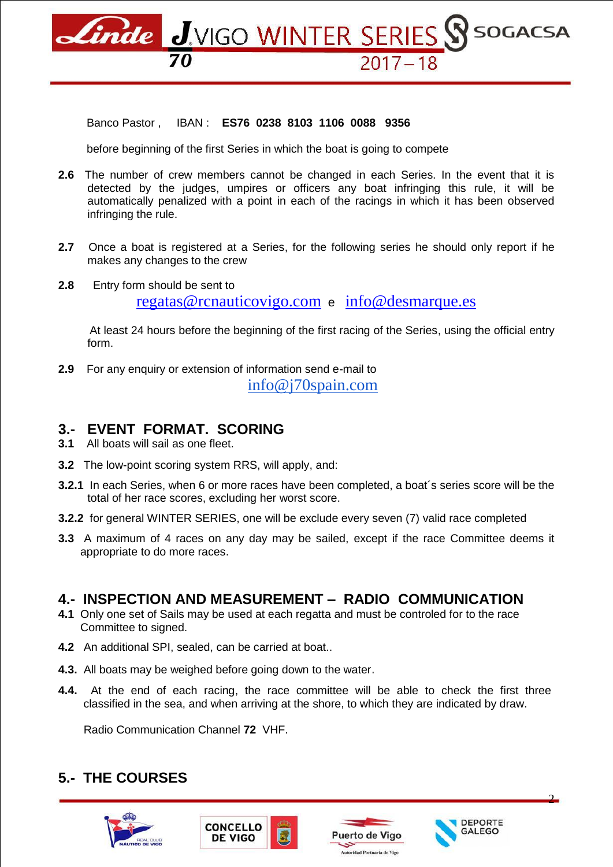Linde J.VIGO WINTER SERIES SS SOGACSA

#### Banco Pastor , IBAN : **ES76 0238 8103 1106 0088 9356**

before beginning of the first Series in which the boat is going to compete

- **2.6** The number of crew members cannot be changed in each Series. In the event that it is detected by the judges, umpires or officers any boat infringing this rule, it will be automatically penalized with a point in each of the racings in which it has been observed infringing the rule.
- **2.7** Once a boat is registered at a Series, for the following series he should only report if he makes any changes to the crew
- **2.8** Entry form should be sent to [regatas@rcnauticovigo.com](mailto:regatas@rcnauticovigo.com) e [info@desmarque.es](mailto:info@desmarque.es)

At least 24 hours before the beginning of the first racing of the Series, using the official entry form.

**2.9** For any enquiry or extension of information send e-mail to [info@j70spain.com](mailto:info@j70spain.com)

#### **3.- EVENT FORMAT. SCORING**

**3.1** All boats will sail as one fleet.

- **3.2** The low-point scoring system RRS, will apply, and:
- **3.2.1** In each Series, when 6 or more races have been completed, a boat´s series score will be the total of her race scores, excluding her worst score.
- **3.2.2** for general WINTER SERIES, one will be exclude every seven (7) valid race completed
- **3.3** A maximum of 4 races on any day may be sailed, except if the race Committee deems it appropriate to do more races.

#### **4.- INSPECTION AND MEASUREMENT – RADIO COMMUNICATION**

- **4.1** Only one set of Sails may be used at each regatta and must be controled for to the race Committee to signed.
- **4.2** An additional SPI, sealed, can be carried at boat..
- **4.3.** All boats may be weighed before going down to the water.
- **4.4.** At the end of each racing, the race committee will be able to check the first three classified in the sea, and when arriving at the shore, to which they are indicated by draw.

Radio Communication Channel **72** VHF.

# **5.- THE COURSES**









2